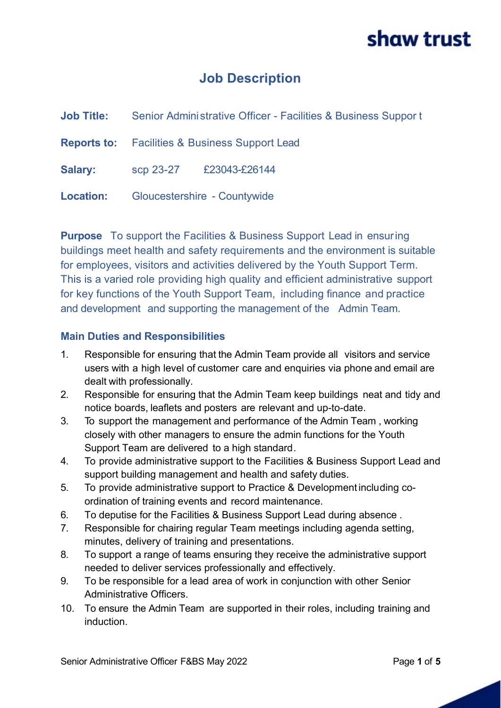### **Job Description**

| <b>Job Title:</b> | Senior Administrative Officer - Facilities & Business Support |
|-------------------|---------------------------------------------------------------|
|                   | <b>Reports to:</b> Facilities & Business Support Lead         |
| Salary:           | scp 23-27 £23043-£26144                                       |
|                   | <b>Location:</b> Gloucestershire - Countywide                 |

**Purpose** To support the Facilities & Business Support Lead in ensuring buildings meet health and safety requirements and the environment is suitable for employees, visitors and activities delivered by the Youth Support Term. This is a varied role providing high quality and efficient administrative support for key functions of the Youth Support Team, including finance and practice and development and supporting the management of the Admin Team.

#### **Main Duties and Responsibilities**

- 1. Responsible for ensuring that the Admin Team provide all visitors and service users with a high level of customer care and enquiries via phone and email are dealt with professionally.
- 2. Responsible for ensuring that the Admin Team keep buildings neat and tidy and notice boards, leaflets and posters are relevant and up-to-date.
- 3. To support the management and performance of the Admin Team , working closely with other managers to ensure the admin functions for the Youth Support Team are delivered to a high standard.
- 4. To provide administrative support to the Facilities & Business Support Lead and support building management and health and safety duties.
- 5. To provide administrative support to Practice & Development including coordination of training events and record maintenance.
- 6. To deputise for the Facilities & Business Support Lead during absence .
- 7. Responsible for chairing regular Team meetings including agenda setting, minutes, delivery of training and presentations.
- 8. To support a range of teams ensuring they receive the administrative support needed to deliver services professionally and effectively.
- 9. To be responsible for a lead area of work in conjunction with other Senior Administrative Officers.
- 10. To ensure the Admin Team are supported in their roles, including training and induction.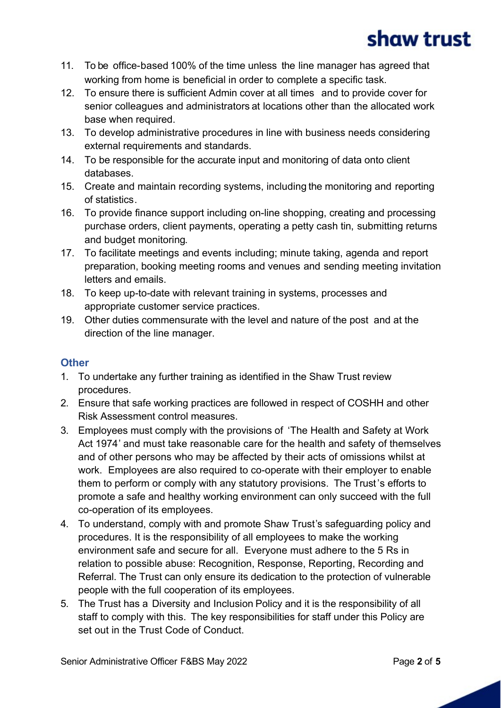- 11. To be office-based 100% of the time unless the line manager has agreed that working from home is beneficial in order to complete a specific task.
- 12. To ensure there is sufficient Admin cover at all times and to provide cover for senior colleagues and administrators at locations other than the allocated work base when required.
- 13. To develop administrative procedures in line with business needs considering external requirements and standards.
- 14. To be responsible for the accurate input and monitoring of data onto client databases.
- 15. Create and maintain recording systems, including the monitoring and reporting of statistics.
- 16. To provide finance support including on-line shopping, creating and processing purchase orders, client payments, operating a petty cash tin, submitting returns and budget monitoring.
- 17. To facilitate meetings and events including; minute taking, agenda and report preparation, booking meeting rooms and venues and sending meeting invitation letters and emails.
- 18. To keep up-to-date with relevant training in systems, processes and appropriate customer service practices.
- 19. Other duties commensurate with the level and nature of the post and at the direction of the line manager.

#### **Other**

- 1. To undertake any further training as identified in the Shaw Trust review procedures.
- 2. Ensure that safe working practices are followed in respect of COSHH and other Risk Assessment control measures.
- 3. Employees must comply with the provisions of 'The Health and Safety at Work Act 1974' and must take reasonable care for the health and safety of themselves and of other persons who may be affected by their acts of omissions whilst at work. Employees are also required to co-operate with their employer to enable them to perform or comply with any statutory provisions. The Trust's efforts to promote a safe and healthy working environment can only succeed with the full co-operation of its employees.
- 4. To understand, comply with and promote Shaw Trust's safeguarding policy and procedures. It is the responsibility of all employees to make the working environment safe and secure for all. Everyone must adhere to the 5 Rs in relation to possible abuse: Recognition, Response, Reporting, Recording and Referral. The Trust can only ensure its dedication to the protection of vulnerable people with the full cooperation of its employees.
- 5. The Trust has a Diversity and Inclusion Policy and it is the responsibility of all staff to comply with this. The key responsibilities for staff under this Policy are set out in the Trust Code of Conduct.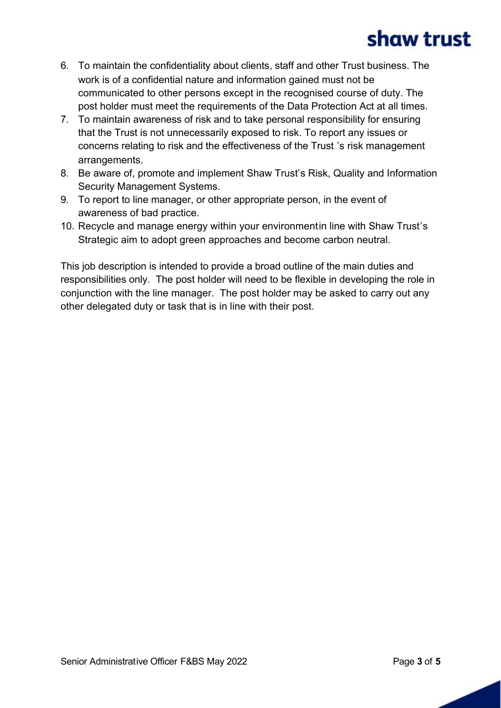- 6. To maintain the confidentiality about clients, staff and other Trust business. The work is of a confidential nature and information gained must not be communicated to other persons except in the recognised course of duty. The post holder must meet the requirements of the Data Protection Act at all times.
- 7. To maintain awareness of risk and to take personal responsibility for ensuring that the Trust is not unnecessarily exposed to risk. To report any issues or concerns relating to risk and the effectiveness of the Trust 's risk management arrangements.
- 8. Be aware of, promote and implement Shaw Trust's Risk, Quality and Information Security Management Systems.
- 9. To report to line manager, or other appropriate person, in the event of awareness of bad practice.
- 10. Recycle and manage energy within your environmentin line with Shaw Trust's Strategic aim to adopt green approaches and become carbon neutral.

This job description is intended to provide a broad outline of the main duties and responsibilities only. The post holder will need to be flexible in developing the role in conjunction with the line manager. The post holder may be asked to carry out any other delegated duty or task that is in line with their post.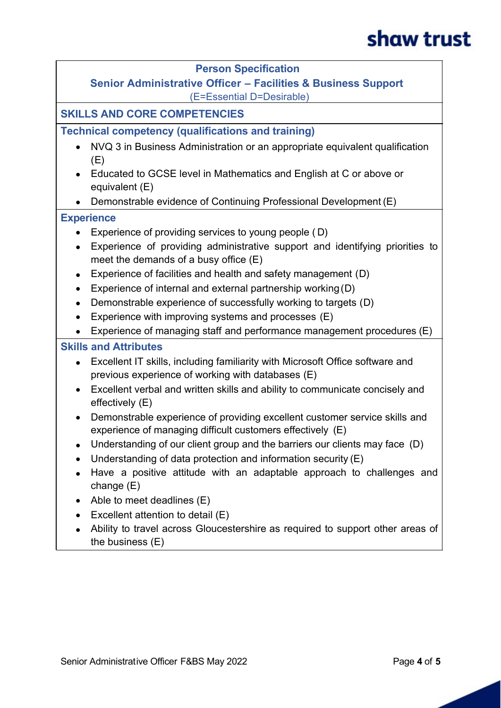#### **Person Specification Senior Administrative Officer – Facilities & Business Support** (E=Essential D=Desirable) **SKILLS AND CORE COMPETENCIES Technical competency (qualifications and training)** · NVQ 3 in Business Administration or an appropriate equivalent qualification (E) · Educated to GCSE level in Mathematics and English at C or above or equivalent (E) · Demonstrable evidence of Continuing Professional Development (E) **Experience** · Experience of providing services to young people ( D) · Experience of providing administrative support and identifying priorities to meet the demands of a busy office (E) • Experience of facilities and health and safety management (D) • Experience of internal and external partnership working (D) · Demonstrable experience of successfully working to targets (D) · Experience with improving systems and processes (E) · Experience of managing staff and performance management procedures (E) **Skills and Attributes** · Excellent IT skills, including familiarity with Microsoft Office software and previous experience of working with databases (E) · Excellent verbal and written skills and ability to communicate concisely and effectively (E) · Demonstrable experience of providing excellent customer service skills and experience of managing difficult customers effectively (E) • Understanding of our client group and the barriers our clients may face (D) · Understanding of data protection and information security (E) · Have a positive attitude with an adaptable approach to challenges and change (E) • Able to meet deadlines (E) · Excellent attention to detail (E) · Ability to travel across Gloucestershire as required to support other areas of the business (E)